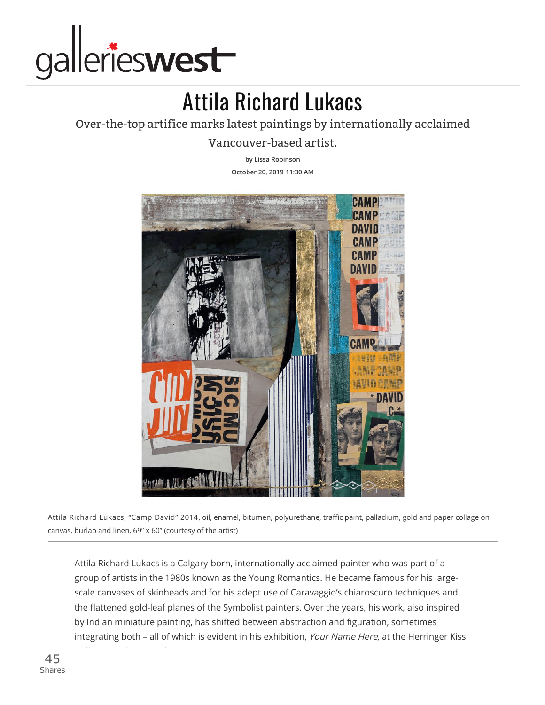

## Attila Richard Lukacs

## Over-the-top artifice marks latest paintings by internationally acclaimed

Vancouver-based artist.

**by Lissa [Robinson](https://www.gallerieswest.ca/topics/lissa_robinson/) October 20, 2019 11:30 AM**



Attila Richard Lukacs, "Camp David" 2014, oil, enamel, bitumen, polyurethane, traffic paint, palladium, gold and paper collage on canvas, burlap and linen, 69" x 60" (courtesy of the artist)

Attila Richard Lukacs is a Calgary-born, internationally acclaimed painter who was part of a group of artists in the 1980s known as the Young Romantics. He became famous for his largescale canvases of skinheads and for his adept use of Caravaggio's chiaroscuro techniques and the flattened gold-leaf planes of the Symbolist painters. Over the years, his work, also inspired by Indian miniature painting, has shifted between abstraction and figuration, sometimes integrating both - all of which is evident in his exhibition, Your Name Here, at the Herringer Kiss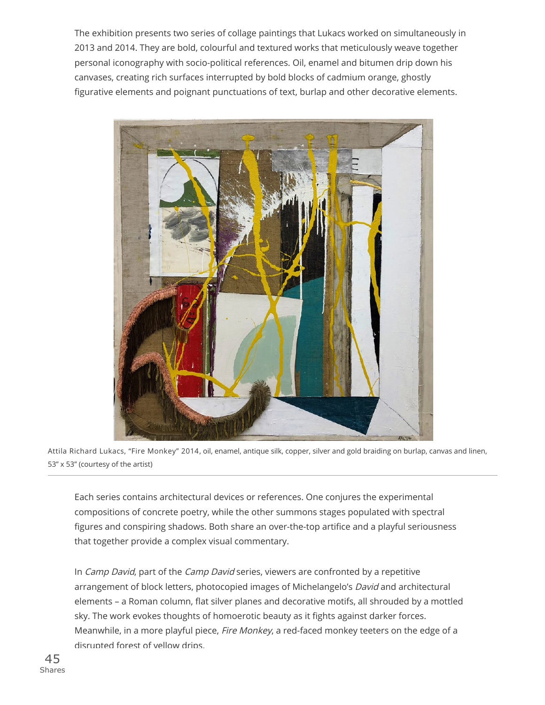The exhibition presents two series of collage paintings that Lukacs worked on simultaneously in 2013 and 2014. They are bold, colourful and textured works that meticulously weave together personal iconography with socio-political references. Oil, enamel and bitumen drip down his canvases, creating rich surfaces interrupted by bold blocks of cadmium orange, ghostly figurative elements and poignant punctuations of text, burlap and other decorative elements.



Attila Richard Lukacs, "Fire Monkey" 2014, oil, enamel, antique silk, copper, silver and gold braiding on burlap, canvas and linen, 53" x 53" (courtesy of the artist)

Each series contains architectural devices or references. One conjures the experimental compositions of concrete poetry, while the other summons stages populated with spectral figures and conspiring shadows. Both share an over-the-top artifice and a playful seriousness that together provide a complex visual commentary.

In Camp David, part of the Camp David series, viewers are confronted by a repetitive arrangement of block letters, photocopied images of Michelangelo's David and architectural elements - a Roman column, flat silver planes and decorative motifs, all shrouded by a mottled sky. The work evokes thoughts of homoerotic beauty as it fights against darker forces. Meanwhile, in a more playful piece, Fire Monkey, a red-faced monkey teeters on the edge of a disrupted forest of yellow drips.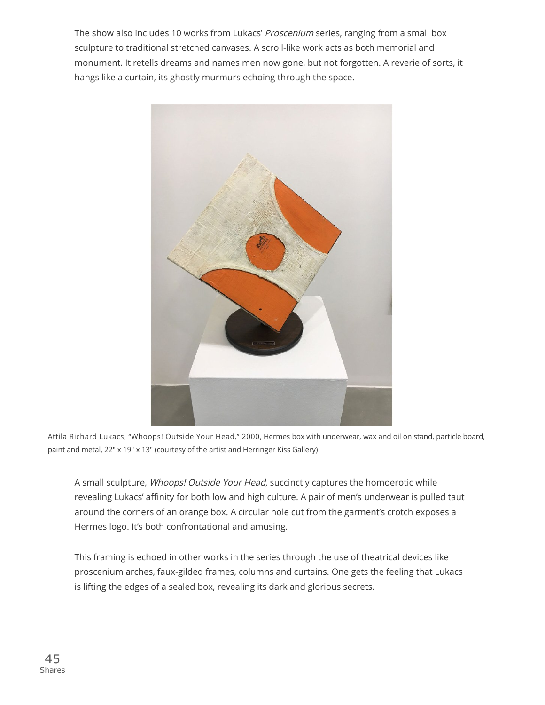The show also includes 10 works from Lukacs' Proscenium series, ranging from a small box sculpture to traditional stretched canvases. A scroll-like work acts as both memorial and monument. It retells dreams and names men now gone, but not forgotten. A reverie of sorts, it hangs like a curtain, its ghostly murmurs echoing through the space.



Attila Richard Lukacs, "Whoops! Outside Your Head," 2000, Hermes box with underwear, wax and oil on stand, particle board, paint and metal, 22" x 19" x 13" (courtesy of the artist and Herringer Kiss Gallery)

A small sculpture, Whoops! Outside Your Head, succinctly captures the homoerotic while revealing Lukacs' affinity for both low and high culture. A pair of men's underwear is pulled taut around the corners of an orange box. A circular hole cut from the garment's crotch exposes a Hermes logo. It's both confrontational and amusing.

This framing is echoed in other works in the series through the use of theatrical devices like proscenium arches, faux-gilded frames, columns and curtains. One gets the feeling that Lukacs is lifting the edges of a sealed box, revealing its dark and glorious secrets.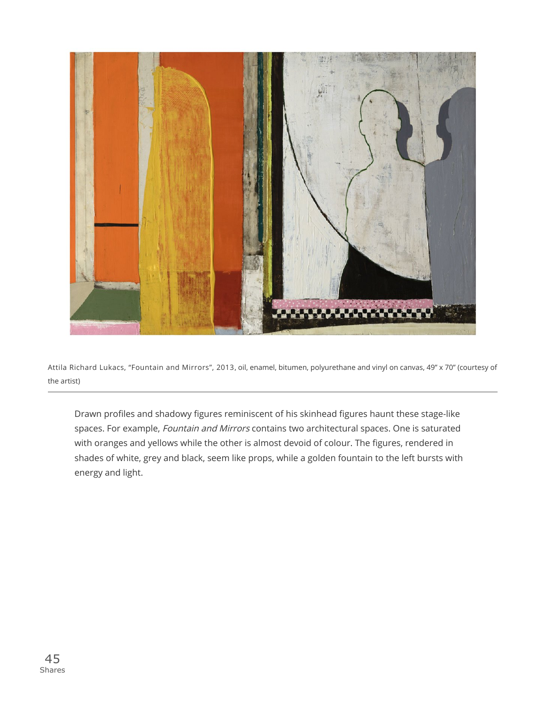

Attila Richard Lukacs, "Fountain and Mirrors", 2013, oil, enamel, bitumen, polyurethane and vinyl on canvas, 49" x 70" (courtesy of the artist)

Drawn profiles and shadowy figures reminiscent of his skinhead figures haunt these stage-like spaces. For example, Fountain and Mirrors contains two architectural spaces. One is saturated with oranges and yellows while the other is almost devoid of colour. The figures, rendered in shades of white, grey and black, seem like props, while a golden fountain to the left bursts with energy and light.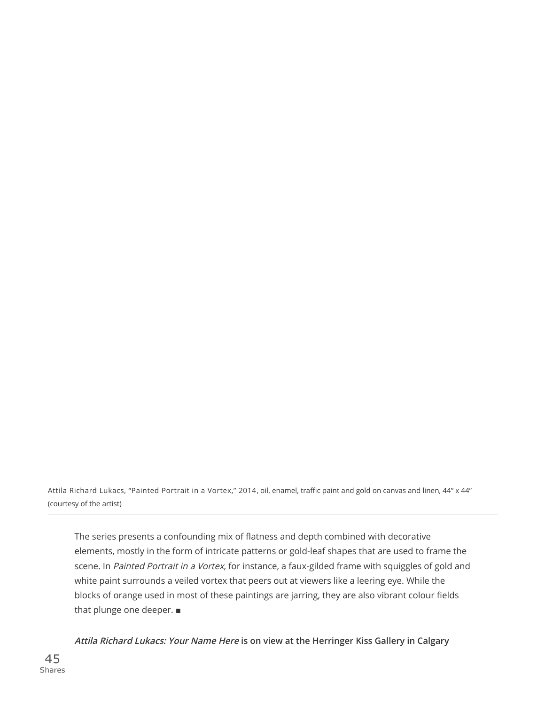Attila Richard Lukacs, "Painted Portrait in a Vortex," 2014, oil, enamel, traffic paint and gold on canvas and linen, 44" x 44" (courtesy of the artist)

The series presents a confounding mix of flatness and depth combined with decorative elements, mostly in the form of intricate patterns or gold-leaf shapes that are used to frame the scene. In Painted Portrait in a Vortex, for instance, a faux-gilded frame with squiggles of gold and white paint surrounds a veiled vortex that peers out at viewers like a leering eye. While the blocks of orange used in most of these paintings are jarring, they are also vibrant colour fields that plunge one deeper. ■

**Attila Richard Lukacs: Your Name Here is on view at the Herringer Kiss Gallery in Calgary**